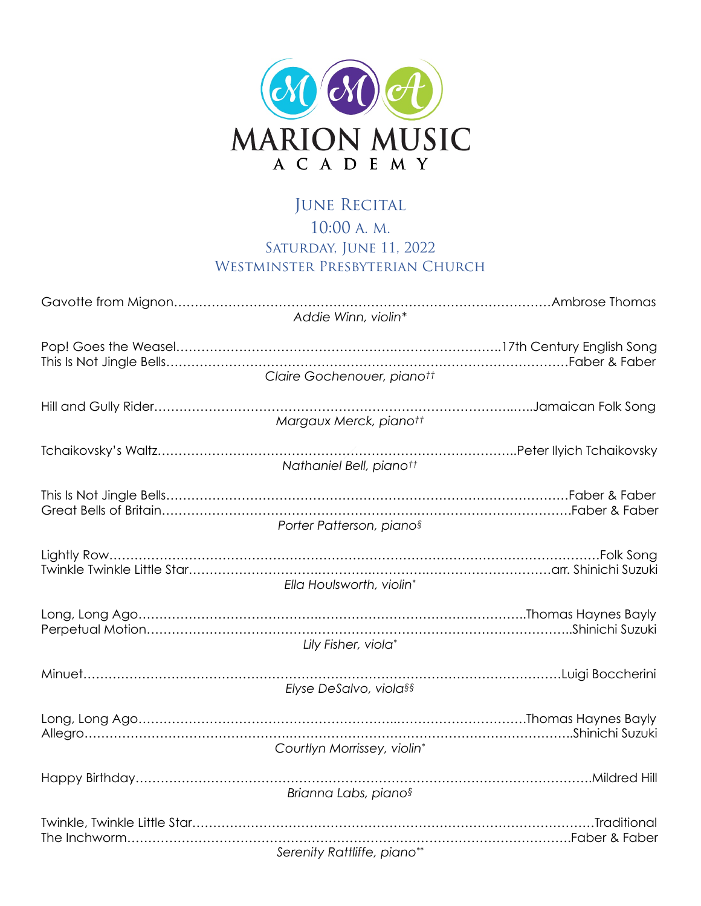

## JUNE RECITAL 10:00 A. M. SATURDAY, JUNE 11, 2022 WESTMINSTER PRESBYTERIAN CHURCH

| Addie Winn, violin*                  |  |
|--------------------------------------|--|
| Claire Gochenouer, pianott           |  |
| Margaux Merck, pianott               |  |
| Nathaniel Bell, pianott              |  |
| Porter Patterson, piano <sup>§</sup> |  |
| Ella Houlsworth, violin*             |  |
| Lily Fisher, viola*                  |  |
| Elyse DeSalvo, viola§§               |  |
| Courtlyn Morrissey, violin*          |  |
| Brianna Labs, pianos                 |  |
|                                      |  |
| Serenity Rattliffe, piano**          |  |